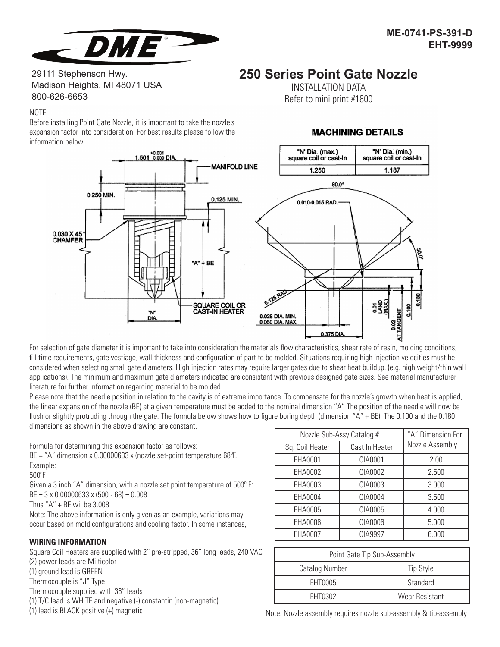

# 29111 Stephenson Hwy. Madison Heights, MI 48071 USA 800-626-6653

## NOTE:

Before installing Point Gate Nozzle, it is important to take the nozzle's expansion factor into consideration. For best results please follow the information below.



For selection of gate diameter it is important to take into consideration the materials flow characteristics, shear rate of resin, molding conditions, fill time requirements, gate vestiage, wall thickness and configuration of part to be molded. Situations requiring high injection velocities must be considered when selecting small gate diameters. High injection rates may require larger gates due to shear heat buildup. (e.g. high weight/thin wall applications). The minimum and maximum gate diameters indicated are consistant with previous designed gate sizes. See material manufacturer literature for further information regarding material to be molded.

Please note that the needle position in relation to the cavity is of extreme importance. To compensate for the nozzle's growth when heat is applied. the linear expansion of the nozzle (BE) at a given temperature must be added to the nominal dimension "A" The position of the needle will now be flush or slightly protruding through the gate. The formula below shows how to figure boring depth (dimension "A" + BE). The 0.100 and the 0.180 dimensions as shown in the above drawing are constant.

Formula for determining this expansion factor as follows:

 $BE = "A"$  dimension x 0.00000633 x (nozzle set-point temperature 68 $PE$ . Example:

#### 500oF

Given a 3 inch "A" dimension, with a nozzle set point temperature of  $500^\circ$  F: BE = 3 x 0.00000633 x (500 - 68) = 0.008

Thus "A" + BE wil be 3.008

Note: The above information is only given as an example, variations may occur based on mold configurations and cooling factor. In some instances,

## **WIRING INFORMATION**

Square Coil Heaters are supplied with 2" pre-stripped, 36" long leads, 240 VAC (2) power leads are Milticolor (1) ground lead is GREEN Thermocouple is "J" Type Thermocouple supplied with 36" leads (1) T/C lead is WHITE and negative (-) constantin (non-magnetic) (1) lead is BLACK positive (+) magnetic

| Nozzle Sub-Assy Catalog # |                | "A" Dimension For |
|---------------------------|----------------|-------------------|
| Sq. Coil Heater           | Cast In Heater | Nozzle Assembly   |
| EHA0001                   | CIA0001        | 2.00              |
| EHA0002                   | CIA0002        | 2.500             |
| EHA0003                   | CIA0003        | 3.000             |
| EHA0004                   | CIA0004        | 3.500             |
| EHA0005                   | CIA0005        | 4.000             |
| EHA0006                   | CIA0006        | 5.000             |
| EHA0007                   | CIA9997        | 6.000             |

| Point Gate Tip Sub-Assembly |                       |  |
|-----------------------------|-----------------------|--|
| Catalog Number              | <b>Tip Style</b>      |  |
| EHT0005                     | Standard              |  |
| EHT0302                     | <b>Wear Resistant</b> |  |

**MACHINING DETAILS** 

**250 Series Point Gate Nozzle** INSTALLATION DATA Refer to mini print #1800

Note: Nozzle assembly requires nozzle sub-assembly & tip-assembly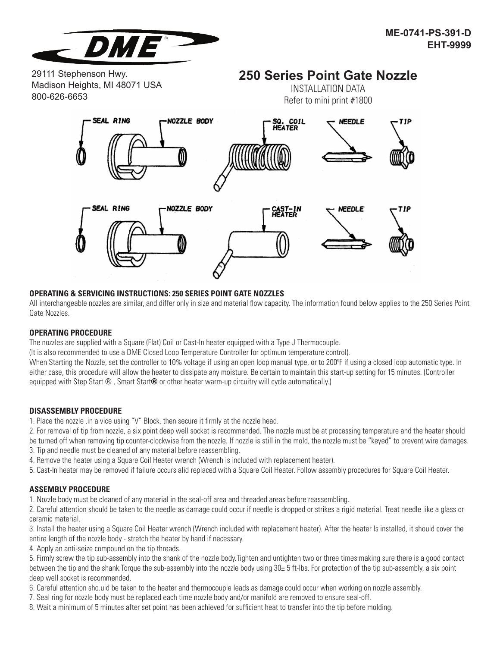

29111 Stephenson Hwy. Madison Heights, MI 48071 USA 800-626-6653

# **250 Series Point Gate Nozzle**

INSTALLATION DATA Refer to mini print #1800



# **OPERATING & SERVICING INSTRUCTIONS: 250 SERIES POINT GATE NOZZLES**

All interchangeable nozzles are similar, and differ only in size and material flow capacity. The information found below applies to the 250 Series Point Gate Nozzles.

## **OPERATING PROCEDURE**

The nozzles are supplied with a Square (Flat) Coil or Cast-In heater equipped with a Type J Thermocouple.

(It is also recommended to use a DME Closed Loop Temperature Controller for optimum temperature control).

When Starting the Nozzle, set the controller to 10% voltage if using an open loop manual type, or to 200°F if using a closed loop automatic type. In either case, this procedure will allow the heater to dissipate any moisture. Be certain to maintain this start-up setting for 15 minutes. (Controller equipped with Step Start  $\circledR$ , Smart Start  $\circledR$  or other heater warm-up circuitry will cycle automatically.)

# **DISASSEMBLY PROCEDURE**

1. Place the nozzle .in a vice using "V" Block, then secure it firmly at the nozzle head.

2. For removal of tip from nozzle, a six point deep well socket is recommended. The nozzle must be at processing temperature and the heater should be turned off when removing tip counter-clockwise from the nozzle. If nozzle is still in the mold, the nozzle must be "keyed" to prevent wire damages.

- 3. Tip and needle must be cleaned of any material before reassembling.
- 4. Remove the heater using a Square Coil Heater wrench (Wrench is included with replacement heater).
- 5. Cast-In heater may be removed if failure occurs alid replaced with a Square Coil Heater. Follow assembly procedures for Square Coil Heater.

## **ASSEMBLY PROCEDURE**

1. Nozzle body must be cleaned of any material in the seal-off area and threaded areas before reassembling.

2. Careful attention should be taken to the needle as damage could occur if needle is dropped or strikes a rigid material. Treat needle like a glass or ceramic material.

3. Install the heater using a Square Coil Heater wrench (Wrench included with replacement heater). After the heater Is installed, it should cover the entire length of the nozzle body - stretch the heater by hand if necessary.

4. Apply an anti-seize compound on the tip threads.

5. Firmly screw the tip sub-assembly into the shank of the nozzle body.Tighten and untighten two or three times making sure there is a good contact between the tip and the shank.Torque the sub-assembly into the nozzle body using 30± 5 ft-lbs. For protection of the tip sub-assembly, a six point deep well socket is recommended.

- 6. Careful attention sho.uid be taken to the heater and thermocouple leads as damage could occur when working on nozzle assembly.
- 7. Seal ring for nozzle body must be replaced each time nozzle body and/or manifold are removed to ensure seal-off.
- 8. Wait a minimum of 5 minutes after set point has been achieved for sufficient heat to transfer into the tip before molding.